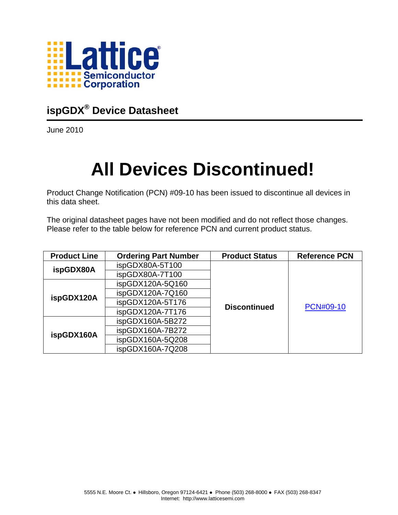

### **ispGDX® Device Datasheet**

June 2010

# **All Devices Discontinued!**

Product Change Notification (PCN) #09-10 has been issued to discontinue all devices in this data sheet.

The original datasheet pages have not been modified and do not reflect those changes. Please refer to the table below for reference PCN and current product status.

| <b>Product Line</b> | <b>Ordering Part Number</b> | <b>Product Status</b> | <b>Reference PCN</b> |
|---------------------|-----------------------------|-----------------------|----------------------|
| ispGDX80A           | ispGDX80A-5T100             |                       |                      |
|                     | ispGDX80A-7T100             |                       |                      |
|                     | ispGDX120A-5Q160            |                       |                      |
| ispGDX120A          | ispGDX120A-7Q160            |                       |                      |
|                     | ispGDX120A-5T176            | <b>Discontinued</b>   | <b>PCN#09-10</b>     |
|                     | ispGDX120A-7T176            |                       |                      |
|                     | ispGDX160A-5B272            |                       |                      |
| ispGDX160A          | ispGDX160A-7B272            |                       |                      |
|                     | ispGDX160A-5Q208            |                       |                      |
|                     | ispGDX160A-7Q208            |                       |                      |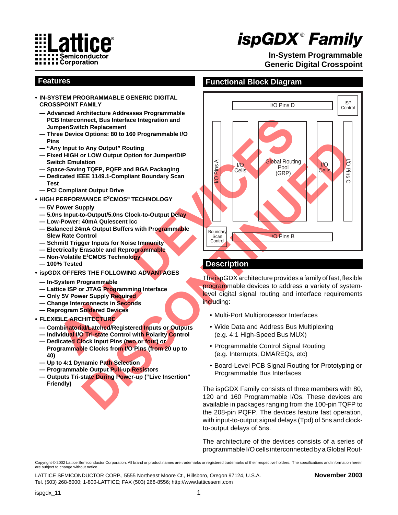

# *ispGDX* **®** *Family*

**In-System Programmable Generic Digital Crosspoint**

- **• IN-SYSTEM PROGRAMMABLE GENERIC DIGITAL CROSSPOINT FAMILY**
	- **— Advanced Architecture Addresses Programmable PCB Interconnect, Bus Interface Integration and Jumper/Switch Replacement**
	- **Three Device Options: 80 to 160 Programmable I/O Pins**
	- **"Any Input to Any Output" Routing**
	- **Fixed HIGH or LOW Output Option for Jumper/DIP Switch Emulation**
	- **Space-Saving TQFP, PQFP and BGA Packaging**
	- **Dedicated IEEE 1149.1-Compliant Boundary Scan Test**
	- **PCI Compliant Output Drive**
- **• HIGH PERFORMANCE E2CMOS® TECHNOLOGY**
- **5V Power Supply**
- **5.0ns Input-to-Output/5.0ns Clock-to-Output Delay**
- **Low-Power: 40mA Quiescent Icc**
- **Balanced 24mA Output Buffers with Programmable Slew Rate Control**
- **Schmitt Trigger Inputs for Noise Immunity**
- **Electrically Erasable and Reprogrammable**
- **Non-Volatile E2 CMOS Technology**
- **100% Tested**
- **• ispGDX OFFERS THE FOLLOWING ADVANTAGES**
- **In-System Programmable**
- **Lattice ISP or JTAG Programming Interface**
- **Only 5V Power Supply Required**
- **Change Interconnects in Seconds**
- **Reprogram Soldered Devices**

### **• FLEXIBLE ARCHITECTURE**

- **Combinatorial/Latched/Registered Inputs or Outputs**
- **Individual I/O Tri-state Control with Polarity Control**
- **Dedicated Clock Input Pins (two or four) or Programmable Clocks from I/O Pins (from 20 up to 40)**
- **Up to 4:1 Dynamic Path Selection**
- **Programmable Output Pull-up Resistors**
- **Outputs Tri-state During Power-up ("Live Insertion" Friendly)**

### **Features Functional Block Diagram**



### **Description**

The ispGDX architecture provides a family of fast, flexible programmable devices to address a variety of systemlevel digital signal routing and interface requirements including:

- Multi-Port Multiprocessor Interfaces
- Wide Data and Address Bus Multiplexing (e.g. 4:1 High-Speed Bus MUX)
- Programmable Control Signal Routing (e.g. Interrupts, DMAREQs, etc)
- Board-Level PCB Signal Routing for Prototyping or Programmable Bus Interfaces

The ispGDX Family consists of three members with 80, 120 and 160 Programmable I/Os. These devices are available in packages ranging from the 100-pin TQFP to the 208-pin PQFP. The devices feature fast operation, with input-to-output signal delays (Tpd) of 5ns and clockto-output delays of 5ns.

The architecture of the devices consists of a series of programmable I/O cells interconnected by a Global Rout-

Copyright © 2002 Lattice Semiconductor Corporation. All brand or product names are trademarks or registered trademarks of their respective holders. The specifications and information herein are subject to change without notice.

LATTICE SEMICONDUCTOR CORP., 5555 Northeast Moore Ct., Hillsboro, Oregon 97124, U.S.A. **November 2003** Tel. (503) 268-8000; 1-800-LATTICE; FAX (503) 268-8556; http://www.latticesemi.com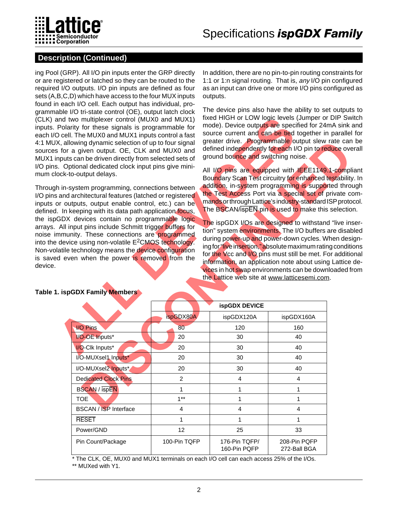

### **Description (Continued)**

ing Pool (GRP). All I/O pin inputs enter the GRP directly or are registered or latched so they can be routed to the required I/O outputs. I/O pin inputs are defined as four sets (A,B,C,D) which have access to the four MUX inputs found in each I/O cell. Each output has individual, programmable I/O tri-state control (OE), output latch clock (CLK) and two multiplexer control (MUX0 and MUX1) inputs. Polarity for these signals is programmable for each I/O cell. The MUX0 and MUX1 inputs control a fast 4:1 MUX, allowing dynamic selection of up to four signal sources for a given output. OE, CLK and MUX0 and MUX1 inputs can be driven directly from selected sets of I/O pins. Optional dedicated clock input pins give minimum clock-to-output delays.

Through in-system programming, connections between I/O pins and architectural features (latched or registered inputs or outputs, output enable control, etc.) can be defined. In keeping with its data path application focus, the ispGDX devices contain no programmable logic arrays. All input pins include Schmitt trigger buffers for noise immunity. These connections are programmed into the device using non-volatile  $E^2$ CMOS technology. Non-volatile technology means the device configuration is saved even when the power is removed from the device.

In addition, there are no pin-to-pin routing constraints for 1:1 or 1:n signal routing. That is, any I/O pin configured as an input can drive one or more I/O pins configured as outputs.

The device pins also have the ability to set outputs to fixed HIGH or LOW logic levels (Jumper or DIP Switch mode). Device outputs are specified for 24mA sink and source current and can be tied together in parallel for greater drive. Programmable output slew rate can be defined independently for each I/O pin to reduce overall ground bounce and switching noise.

| and two multiplexer control (MUX0 and MUX1)<br>Polarity for these signals is programmable for<br>O cell. The MUX0 and MUX1 inputs control a fast<br>X, allowing dynamic selection of up to four signal<br>s for a given output. OE, CLK and MUX0 and<br>nputs can be driven directly from selected sets of<br>s. Optional dedicated clock input pins give mini-<br>lock-to-output delays.<br>h in-system programming, connections between<br>s and architectural features (latched or registered<br>or outputs, output enable control, etc.) can be<br>I. In keeping with its data path application focus,<br>GDX devices contain no programmable logic<br>All input pins include Schmitt trigger buffers for<br>mmunity. These connections are programmed<br>device using non-volatile E <sup>2</sup> CMOS technology.<br>latile technology means the device configuration<br>d even when the power is removed from the |                         | fixed HIGH or LOW logic levels (Jumper or DIP Switch<br>mode). Device outputs are specified for 24mA sink and<br>source current and can be tied together in parallel for<br>greater drive. Programmable output slew rate can be<br>defined independently for each I/O pin to reduce overall<br>ground bounce and switching noise.<br>All I/O pins are equipped with IEEE1149.1-compliant<br>Boundary Scan Test circuitry for enhanced testability. In<br>addition, in-system programming is supported through<br>the Test Access Port via a special set of private com-<br>mands or through Lattice's industry-standard ISP protocol.<br>The BSCAN/ispEN pin is used to make this selection.<br>The ispGDX I/Os are designed to withstand "live inser-<br>tion" system environments. The I/O buffers are disabled<br>during power-up and power-down cycles. When design-<br>ing for "live insertion," absolute maximum rating conditions<br>for the Vcc and I/O pins must still be met. For additional<br>information, an application note about using Lattice de-<br>vices in hot swap environments can be downloaded from<br>the Lattice web site at www.latticesemi.com. |                              |  |
|--------------------------------------------------------------------------------------------------------------------------------------------------------------------------------------------------------------------------------------------------------------------------------------------------------------------------------------------------------------------------------------------------------------------------------------------------------------------------------------------------------------------------------------------------------------------------------------------------------------------------------------------------------------------------------------------------------------------------------------------------------------------------------------------------------------------------------------------------------------------------------------------------------------------------|-------------------------|-----------------------------------------------------------------------------------------------------------------------------------------------------------------------------------------------------------------------------------------------------------------------------------------------------------------------------------------------------------------------------------------------------------------------------------------------------------------------------------------------------------------------------------------------------------------------------------------------------------------------------------------------------------------------------------------------------------------------------------------------------------------------------------------------------------------------------------------------------------------------------------------------------------------------------------------------------------------------------------------------------------------------------------------------------------------------------------------------------------------------------------------------------------------------------|------------------------------|--|
| <b>I. ispGDX Family Members</b>                                                                                                                                                                                                                                                                                                                                                                                                                                                                                                                                                                                                                                                                                                                                                                                                                                                                                          |                         | ispGDX DEVICE                                                                                                                                                                                                                                                                                                                                                                                                                                                                                                                                                                                                                                                                                                                                                                                                                                                                                                                                                                                                                                                                                                                                                               |                              |  |
|                                                                                                                                                                                                                                                                                                                                                                                                                                                                                                                                                                                                                                                                                                                                                                                                                                                                                                                          | ispGDX80A               | ispGDX120A                                                                                                                                                                                                                                                                                                                                                                                                                                                                                                                                                                                                                                                                                                                                                                                                                                                                                                                                                                                                                                                                                                                                                                  | ispGDX160A                   |  |
| <b>I/O Pins</b>                                                                                                                                                                                                                                                                                                                                                                                                                                                                                                                                                                                                                                                                                                                                                                                                                                                                                                          | 80                      | 120                                                                                                                                                                                                                                                                                                                                                                                                                                                                                                                                                                                                                                                                                                                                                                                                                                                                                                                                                                                                                                                                                                                                                                         | 160                          |  |
| <b>VO-OE Inputs*</b>                                                                                                                                                                                                                                                                                                                                                                                                                                                                                                                                                                                                                                                                                                                                                                                                                                                                                                     | 20                      | 30                                                                                                                                                                                                                                                                                                                                                                                                                                                                                                                                                                                                                                                                                                                                                                                                                                                                                                                                                                                                                                                                                                                                                                          | 40                           |  |
| I/O-Clk Inputs*                                                                                                                                                                                                                                                                                                                                                                                                                                                                                                                                                                                                                                                                                                                                                                                                                                                                                                          | 20                      | 30                                                                                                                                                                                                                                                                                                                                                                                                                                                                                                                                                                                                                                                                                                                                                                                                                                                                                                                                                                                                                                                                                                                                                                          | 40                           |  |
| I/O-MUXsel1 Inputs*                                                                                                                                                                                                                                                                                                                                                                                                                                                                                                                                                                                                                                                                                                                                                                                                                                                                                                      | 20                      | 30                                                                                                                                                                                                                                                                                                                                                                                                                                                                                                                                                                                                                                                                                                                                                                                                                                                                                                                                                                                                                                                                                                                                                                          | 40                           |  |
| I/O-MUXsel2 Inputs*                                                                                                                                                                                                                                                                                                                                                                                                                                                                                                                                                                                                                                                                                                                                                                                                                                                                                                      | 20                      | 30                                                                                                                                                                                                                                                                                                                                                                                                                                                                                                                                                                                                                                                                                                                                                                                                                                                                                                                                                                                                                                                                                                                                                                          | 40                           |  |
| <b>Dedicated Clock Pins</b>                                                                                                                                                                                                                                                                                                                                                                                                                                                                                                                                                                                                                                                                                                                                                                                                                                                                                              | 2                       | 4                                                                                                                                                                                                                                                                                                                                                                                                                                                                                                                                                                                                                                                                                                                                                                                                                                                                                                                                                                                                                                                                                                                                                                           | $\overline{4}$               |  |
| <b>BSCAN / ispEN</b>                                                                                                                                                                                                                                                                                                                                                                                                                                                                                                                                                                                                                                                                                                                                                                                                                                                                                                     | $\mathbf{1}$            | $\mathbf{1}$                                                                                                                                                                                                                                                                                                                                                                                                                                                                                                                                                                                                                                                                                                                                                                                                                                                                                                                                                                                                                                                                                                                                                                | 1                            |  |
| <b>TOE</b>                                                                                                                                                                                                                                                                                                                                                                                                                                                                                                                                                                                                                                                                                                                                                                                                                                                                                                               | $1***$                  | $\mathbf{1}$                                                                                                                                                                                                                                                                                                                                                                                                                                                                                                                                                                                                                                                                                                                                                                                                                                                                                                                                                                                                                                                                                                                                                                | 1                            |  |
| <b>BSCAN / ISP Interface</b>                                                                                                                                                                                                                                                                                                                                                                                                                                                                                                                                                                                                                                                                                                                                                                                                                                                                                             | $\overline{\mathbf{4}}$ | $\overline{\mathbf{4}}$                                                                                                                                                                                                                                                                                                                                                                                                                                                                                                                                                                                                                                                                                                                                                                                                                                                                                                                                                                                                                                                                                                                                                     | 4                            |  |
| <b>RESET</b>                                                                                                                                                                                                                                                                                                                                                                                                                                                                                                                                                                                                                                                                                                                                                                                                                                                                                                             | 1                       | 1                                                                                                                                                                                                                                                                                                                                                                                                                                                                                                                                                                                                                                                                                                                                                                                                                                                                                                                                                                                                                                                                                                                                                                           | 1                            |  |
| Power/GND                                                                                                                                                                                                                                                                                                                                                                                                                                                                                                                                                                                                                                                                                                                                                                                                                                                                                                                | 12                      | 25                                                                                                                                                                                                                                                                                                                                                                                                                                                                                                                                                                                                                                                                                                                                                                                                                                                                                                                                                                                                                                                                                                                                                                          | 33                           |  |
| Pin Count/Package                                                                                                                                                                                                                                                                                                                                                                                                                                                                                                                                                                                                                                                                                                                                                                                                                                                                                                        | 100-Pin TQFP            | 176-Pin TQFP/<br>160-Pin PQFP                                                                                                                                                                                                                                                                                                                                                                                                                                                                                                                                                                                                                                                                                                                                                                                                                                                                                                                                                                                                                                                                                                                                               | 208-Pin PQFP<br>272-Ball BGA |  |

### **Table 1. ispGDX Family Members**

\* The CLK, OE, MUX0 and MUX1 terminals on each I/O cell can each access 25% of the I/Os.

\*\* MUXed with Y1.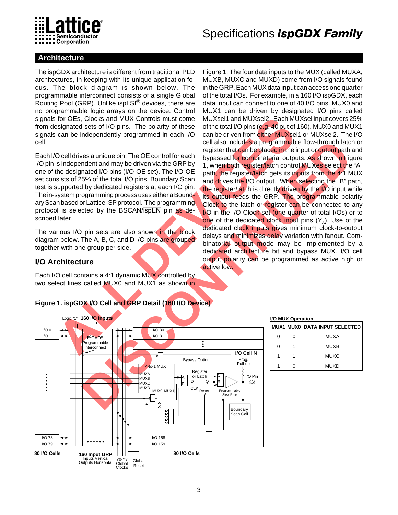

### **Architecture**

The ispGDX architecture is different from traditional PLD architectures, in keeping with its unique application focus. The block diagram is shown below. The programmable interconnect consists of a single Global Routing Pool (GRP). Unlike ispLSI® devices, there are no programmable logic arrays on the device. Control signals for OEs, Clocks and MUX Controls must come from designated sets of I/O pins. The polarity of these signals can be independently programmed in each I/O cell.

Each I/O cell drives a unique pin. The OE control for each I/O pin is independent and may be driven via the GRP by one of the designated I/O pins (I/O-OE set). The I/O-OE set consists of 25% of the total I/O pins. Boundary Scan test is supported by dedicated registers at each I/O pin. The in-system programming process uses either a Boundary Scan based or Lattice ISP protocol. The programming protocol is selected by the BSCAN/ispEN pin as described later.

The various I/O pin sets are also shown in the block diagram below. The A, B, C, and D I/O pins are grouped together with one group per side.

### **I/O Architecture**

Each I/O cell contains a 4:1 dynamic MUX controlled by two select lines called MUX0 and MUX1 as shown in

For Clear, Clocks and MUX Controlled to the Muxisler and MUX Controlled and MUX Controlled to the programment of the scale in the programment in the Disc Clear of the tensil of Disc Clear the interpertation of the programm For the CRISIS of the state in the Second of the state of the state of the state of the state of the state of the state of the cRISIS of the total 10 pins at a state of the SRP by 1, when both control material or pitchers Figure 1. The four data inputs to the MUX (called MUXA, MUXB, MUXC and MUXD) come from I/O signals found in the GRP. Each MUX data input can access one quarter of the total I/Os. For example, in a 160 I/O ispGDX, each data input can connect to one of 40 I/O pins. MUX0 and MUX1 can be driven by designated I/O pins called MUXsel1 and MUXsel2. Each MUXsel input covers 25% of the total I/O pins (e.g. 40 out of 160). MUX0 and MUX1 can be driven from either MUXsel1 or MUXsel2. The I/O cell also includes a programmable flow-through latch or register that can be placed in the input or output path and bypassed for combinatorial outputs. As shown in Figure 1, when both register/latch control MUXes select the "A" path, the register/latch gets its inputs from the 4:1 MUX and drives the I/O output. When selecting the "B" path, the register/latch is directly driven by the I/O input while its output feeds the GRP. The programmable polarity Clock to the latch or register can be connected to any I/O in the I/O-Clock set (one-quarter of total I/Os) or to one of the dedicated clock input pins  $(Y_x)$ . Use of the dedicated clock inputs gives minimum clock-to-output delays and minimizes delay variation with fanout. Combinatorial output mode may be implemented by a dedicated architecture bit and bypass MUX. I/O cell output polarity can be programmed as active high or active low.

### **Figure 1. ispGDX I/O Cell and GRP Detail (160 I/O Device)**



#### **I/O MUX Operation**

|   |   | MUX1 MUX0 DATA INPUT SELECTED |
|---|---|-------------------------------|
| 0 | Ω | <b>MUXA</b>                   |
| 0 |   | <b>MUXB</b>                   |
|   |   | MUXC                          |
|   | ∩ | MUXD                          |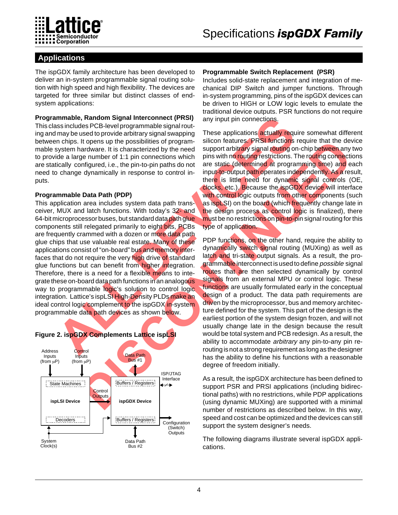

### **Applications**

The ispGDX family architecture has been developed to deliver an in-system programmable signal routing solution with high speed and high flexibility. The devices are targeted for three similar but distinct classes of endsystem applications:

### **Programmable, Random Signal Interconnect (PRSI)**

This class includes PCB-level programmable signal routing and may be used to provide arbitrary signal swapping between chips. It opens up the possibilities of programmable system hardware. It is characterized by the need to provide a large number of 1:1 pin connections which are statically configured, i.e., the pin-to-pin paths do not need to change dynamically in response to control inputs.

### **Programmable Data Path (PDP)**

**Example Random Signal Interconnect (PRSI)** any input pin connections.<br>
These applications Signal Interconnections (SPS-level programmable signal swapping These applications actually require simple). It opens with the pros This application area includes system data path transceiver, MUX and latch functions. With today's 32- and 64-bit microprocessor buses, but standard data path glue components still relegated primarily to eight bits, PCBs are frequently crammed with a dozen or more data path glue chips that use valuable real estate. Many of these applications consist of "on-board" bus and memory interfaces that do not require the very high drive of standard glue functions but can benefit from higher integration. Therefore, there is a need for a flexible means to integrate these on-board data path functions in an analogous way to programmable logic's solution to control logic integration. Lattice's ispLSI High-Density PLDs make an ideal control logic complement to the ispGDX in-system programmable data path devices as shown below.

## **Figure 2. ispGDX Complements Lattice ispLSI**



### **Programmable Switch Replacement (PSR)**

Includes solid-state replacement and integration of mechanical DIP Switch and jumper functions. Through in-system programming, pins of the ispGDX devices can be driven to HIGH or LOW logic levels to emulate the traditional device outputs. PSR functions do not require any input pin connections.

These applications actually require somewhat different silicon features. PRSI functions require that the device support arbitrary signal routing on-chip between any two pins with no routing restrictions. The routing connections are static (determined at programming time) and each input-to-output path operates independently. As a result, there is little need for dynamic signal controls (OE, clocks, etc.). Because the ispGDX device will interface with control logic outputs from other components (such as ispLSI) on the board (which frequently change late in the design process as control logic is finalized), there must be no restrictions on pin-to-pin signal routing for this type of application.

the possibilities of program slicens in the device is the device of the internet of the pindical state of the pindical state is controlling to change the particular state of the pindical state is permission. The particular PDP functions, on the other hand, require the ability to dynamically switch signal routing (MUXing) as well as latch and tri-state output signals. As a result, the programmable interconnect is used to define *possible* signal routes that are then selected dynamically by control signals from an external MPU or control logic. These functions are usually formulated early in the conceptual design of a product. The data path requirements are driven by the microprocessor, bus and memory architecture defined for the system. This part of the design is the earliest portion of the system design frozen, and will not usually change late in the design because the result would be total system and PCB redesign. As a result, the ability to accommodate *arbitrary* any pin-to-any pin rerouting is not a strong requirement as long as the designer has the ability to define his functions with a reasonable degree of freedom initially.

As a result, the ispGDX architecture has been defined to support PSR and PRSI applications (including bidirectional paths) with no restrictions, while PDP applications (using dynamic MUXing) are supported with a minimal number of restrictions as described below. In this way, speed and cost can be optimized and the devices can still support the system designer's needs.

The following diagrams illustrate several ispGDX applications.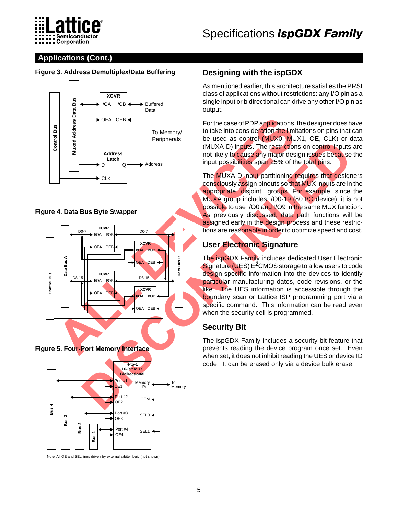

### **Applications (Cont.)**

### **Figure 3. Address Demultiplex/Data Buffering**



### **Figure 4. Data Bus Byte Swapper**



**Figure 5. Four-Port Memory Interface**



Note: All OE and SEL lines driven by external arbiter logic (not shown).

### **Designing with the ispGDX**

As mentioned earlier, this architecture satisfies the PRSI class of applications without restrictions: any I/O pin as a single input or bidirectional can drive any other I/O pin as output.

For the case of PDP applications, the designer does have to take into consideration the limitations on pins that can be used as control (MUX0, MUX1, OE, CLK) or data (MUXA-D) inputs. The restrictions on control inputs are not likely to cause any major design issues because the input possibilities span 25% of the total pins.

The MUXA-D input partitioning requires that designers consciously assign pinouts so that MUX inputs are in the appropriate, disjoint groups. For example, since the MUXA group includes I/O0-19 (80 I/O device), it is not possible to use I/O0 and I/O9 in the same MUX function. As previously discussed, data path functions will be assigned early in the design process and these restrictions are reasonable in order to optimize speed and cost.

### **User Electronic Signature**

The ispGDX Family includes dedicated User Electronic Signature (UES)  $E<sup>2</sup>CMOS$  storage to allow users to code design-specific information into the devices to identify particular manufacturing dates, code revisions, or the like. The UES information is accessible through the boundary scan or Lattice ISP programming port via a specific command. This information can be read even when the security cell is programmed.

### **Security Bit**

The ispGDX Family includes a security bit feature that prevents reading the device program once set. Even when set, it does not inhibit reading the UES or device ID code. It can be erased only via a device bulk erase.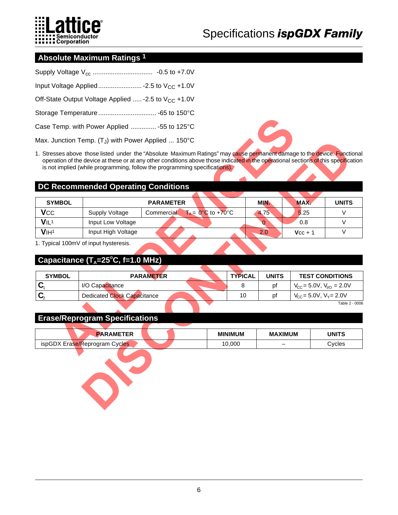

### **Absolute Maximum Ratings 1**

| Off-State Output Voltage Applied  - 2.5 to V <sub>CC</sub> + 1.0V |
|-------------------------------------------------------------------|
|                                                                   |
| Case Temp. with Power Applied  -55 to 125°C                       |
| Max. Junction Temp. $(T_J)$ with Power Applied  150°C             |

### **DC Recommended Operating Conditions**

|                             | Case Temp. with Power Applied  -55 to 125°C                                                                                                                                                                                                                                                                                                   |                  |                                   |                |                          |                                                 |                        |
|-----------------------------|-----------------------------------------------------------------------------------------------------------------------------------------------------------------------------------------------------------------------------------------------------------------------------------------------------------------------------------------------|------------------|-----------------------------------|----------------|--------------------------|-------------------------------------------------|------------------------|
|                             | Max. Junction Temp. $(T_J)$ with Power Applied  150°C                                                                                                                                                                                                                                                                                         |                  |                                   |                |                          |                                                 |                        |
|                             | 1. Stresses above those listed under the "Absolute Maximum Ratings" may cause permanent damage to the device. Functional<br>operation of the device at these or at any other conditions above those indicated in the operational sections of this specification<br>is not implied (while programming, follow the programming specifications). |                  |                                   |                |                          |                                                 |                        |
|                             | <b>DC Recommended Operating Conditions</b>                                                                                                                                                                                                                                                                                                    |                  |                                   |                |                          |                                                 |                        |
| <b>SYMBOL</b>               |                                                                                                                                                                                                                                                                                                                                               | <b>PARAMETER</b> |                                   |                | <b>MIN</b>               | MAX.                                            | <b>UNITS</b>           |
| <b>VCC</b>                  | Supply Voltage                                                                                                                                                                                                                                                                                                                                | Commercial       | $T_A = 0^\circ \text{C}$ to +70°C |                | 4.75                     | 5.25                                            | $\vee$                 |
| VIL <sup>1</sup>            | Input Low Voltage                                                                                                                                                                                                                                                                                                                             |                  |                                   |                | 0                        | 0.8                                             | V                      |
| V <sub>1H<sub>1</sub></sub> | Input High Voltage                                                                                                                                                                                                                                                                                                                            |                  |                                   |                | 2.0                      | $Vcc + 1$                                       | $\vee$                 |
| <b>SYMBOL</b>               | 1. Typical 100mV of input hysteresis.<br>Capacitance $(T_A=25^{\circ}C, f=1.0 \text{ MHz})$                                                                                                                                                                                                                                                   | <b>PARAMETER</b> |                                   | <b>TYPICAL</b> | <b>UNITS</b>             |                                                 | <b>TEST CONDITIONS</b> |
| $\mathbf{C}_1$              | I/O Capacitance                                                                                                                                                                                                                                                                                                                               |                  |                                   | 8              | pf                       | $V_{\text{CC}}$ = 5.0V, $V_{\text{I/O}}$ = 2.0V |                        |
|                             | <b>Dedicated Clock Capacitance</b>                                                                                                                                                                                                                                                                                                            |                  |                                   | 10             | pf                       | $V_{CC}$ = 5.0V, $V_Y$ = 2.0V                   |                        |
|                             |                                                                                                                                                                                                                                                                                                                                               |                  |                                   |                |                          |                                                 | Table 2 - 0006         |
|                             | <b>Erase/Reprogram Specifications</b>                                                                                                                                                                                                                                                                                                         |                  |                                   |                |                          |                                                 |                        |
|                             | <b>PARAMETER</b>                                                                                                                                                                                                                                                                                                                              |                  | <b>MINIMUM</b>                    |                | <b>MAXIMUM</b>           |                                                 | <b>UNITS</b>           |
|                             | ispGDX Erase/Reprogram Cycles                                                                                                                                                                                                                                                                                                                 |                  | 10,000                            |                | $\overline{\phantom{0}}$ |                                                 | Cycles                 |
|                             |                                                                                                                                                                                                                                                                                                                                               |                  |                                   |                |                          |                                                 |                        |

### Capacitance (T<sub>A</sub>=25°C, f=1.0 MHz)

| <b>SYMBOL</b> | <b>PARAMETER</b>            | <b>TYPICAL</b> | <b>UNITS</b> | <b>TEST CONDITIONS</b>                  |
|---------------|-----------------------------|----------------|--------------|-----------------------------------------|
|               | I/O Capacitance             |                | рt           | $V_{CC} = 5.0 V$ , $V_{UQ} = 2.0 V$     |
| ◠             | Dedicated Clock Capacitance | 10             | рt           | $V_{\rm CC}$ = 5.0V, $V_{\rm V}$ = 2.0V |
|               |                             |                |              | $T_0 h l_0 2 0006$                      |

### **Erase/Reprogram Specifications**

| <b>AMFTFR</b>                                                                                        |  | <b>MINIMUM</b> | <b>MAXIMUM</b>           | <b>UNITS</b> |
|------------------------------------------------------------------------------------------------------|--|----------------|--------------------------|--------------|
| $\overline{\phantom{a}}$ ispGD <sup>Y</sup> $\overline{\phantom{a}}$<br>e/Reprogram Cycles<br>Erase. |  | 10.000         | $\overline{\phantom{0}}$ | Cycles       |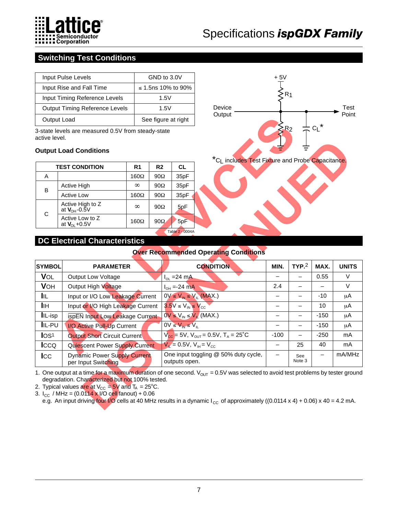

### **Switching Test Conditions**

| Input Pulse Levels                    | GND to 3.0V         |
|---------------------------------------|---------------------|
| Input Rise and Fall Time              | ≤ 1.5ns 10% to 90%  |
| Input Timing Reference Levels         | 1.5V                |
| <b>Output Timing Reference Levels</b> | 1.5V                |
| Output Load                           | See figure at right |

### **Output Load Conditions**

|                 | <b>TEST CONDITION</b>                 | R <sub>1</sub> | R <sub>2</sub> | CL.  |  |  |  |
|-----------------|---------------------------------------|----------------|----------------|------|--|--|--|
| Α               |                                       | $160\Omega$    | $90\Omega$     | 35pF |  |  |  |
|                 | <b>Active High</b>                    | $\infty$       | $90\Omega$     | 35pF |  |  |  |
| B               | <b>Active Low</b>                     | $160\Omega$    | $90\Omega$     | 35pF |  |  |  |
|                 | Active High to Z<br>at $V_{OH}$ -0.5V | $\infty$       | $90\Omega$     | 5pF  |  |  |  |
| C               | Active Low to Z<br>at $V_{OL}$ +0.5V  | $160\Omega$    | $90\Omega$     | 5pF  |  |  |  |
| Table 2 - 0004A |                                       |                |                |      |  |  |  |



### **DC Electrical Characteristics**

### **Over Recommended Operating Conditions**

| Output Load      |                                                                                                                                                                              |                |                | See figure at right                                 | ouipui                                                                                                                                                                                                                                                                    |                          |                          |                          |              |
|------------------|------------------------------------------------------------------------------------------------------------------------------------------------------------------------------|----------------|----------------|-----------------------------------------------------|---------------------------------------------------------------------------------------------------------------------------------------------------------------------------------------------------------------------------------------------------------------------------|--------------------------|--------------------------|--------------------------|--------------|
| active level.    | 3-state levels are measured 0.5V from steady-state                                                                                                                           |                |                |                                                     |                                                                                                                                                                                                                                                                           |                          | R <sub>2</sub>           |                          |              |
|                  | <b>Output Load Conditions</b>                                                                                                                                                |                |                |                                                     |                                                                                                                                                                                                                                                                           |                          |                          |                          |              |
|                  | <b>TEST CONDITION</b>                                                                                                                                                        | R <sub>1</sub> | R <sub>2</sub> | <b>CL</b>                                           | *CL includes Test Fixture and Probe Capacitance.                                                                                                                                                                                                                          |                          |                          |                          |              |
| Α                |                                                                                                                                                                              | $160\Omega$    | $90\Omega$     | 35pF                                                |                                                                                                                                                                                                                                                                           |                          |                          |                          |              |
|                  | Active High                                                                                                                                                                  | $\infty$       | $90\Omega$     | 35pF                                                |                                                                                                                                                                                                                                                                           |                          |                          |                          |              |
| B                | <b>Active Low</b>                                                                                                                                                            | $160\Omega$    | $90\Omega$     | 35pF                                                |                                                                                                                                                                                                                                                                           |                          |                          |                          |              |
| $\mathbf C$      | Active High to Z<br>at $V_{OH}$ -0.5V                                                                                                                                        | $\infty$       | $90\Omega$     | 5pF                                                 |                                                                                                                                                                                                                                                                           |                          |                          |                          |              |
|                  | Active Low to Z<br>at $V_{OL}$ +0.5V                                                                                                                                         | $160\Omega$    | $90\Omega$     | 5pF                                                 |                                                                                                                                                                                                                                                                           |                          |                          |                          |              |
|                  |                                                                                                                                                                              |                |                | Table 2 - 0004A                                     |                                                                                                                                                                                                                                                                           |                          |                          |                          |              |
|                  | <b>DC Electrical Characteristics</b>                                                                                                                                         |                |                |                                                     |                                                                                                                                                                                                                                                                           |                          |                          |                          |              |
|                  |                                                                                                                                                                              |                |                |                                                     | <b>Over Recommended Operating Conditions</b>                                                                                                                                                                                                                              |                          |                          |                          |              |
| <b>SYMBOL</b>    | <b>PARAMETER</b>                                                                                                                                                             |                |                |                                                     | <b>CONDITION</b>                                                                                                                                                                                                                                                          | MIN.                     | TYP <sub>2</sub>         | MAX.                     | <b>UNITS</b> |
| VOL              | Output Low Voltage                                                                                                                                                           |                |                | $I_{OL}$ =24 mA                                     |                                                                                                                                                                                                                                                                           |                          |                          | 0.55                     | $\vee$       |
| <b>VOH</b>       | Output High Voltage                                                                                                                                                          |                |                | $I_{OH}$ =-24 mA                                    |                                                                                                                                                                                                                                                                           | 2.4                      | $\overline{\phantom{0}}$ | $\overline{\phantom{0}}$ | $\vee$       |
| <b>I</b> IL      | Input or I/O Low Leakage Current                                                                                                                                             |                |                | $0V \le V_{IN} \le V_{IL}$ (MAX.)                   |                                                                                                                                                                                                                                                                           | $\overline{\phantom{0}}$ | $\overline{\phantom{0}}$ | -10                      | μA           |
| <b>I</b> IH      | Input or I/O High Leakage Current                                                                                                                                            |                |                | $3.5V \leq V_{IN} \leq V_{CC}$                      |                                                                                                                                                                                                                                                                           | $\overline{\phantom{0}}$ |                          | 10                       | μA           |
| IIL-isp          | ispEN Input Low Leakage Current                                                                                                                                              |                |                | $0V \le V_{IN} \le V_{IL}$ (MAX.)                   |                                                                                                                                                                                                                                                                           | $\overline{\phantom{0}}$ | $\overline{\phantom{0}}$ | $-150$                   | μA           |
| IIL-PU           | I/O Active Pull-Up Current                                                                                                                                                   |                |                | $0V \leq V_{IN} \leq V_{IL}$                        |                                                                                                                                                                                                                                                                           | $\overline{\phantom{0}}$ |                          | $-150$                   | μA           |
| IOS <sup>1</sup> | <b>Output Short Circuit Current</b>                                                                                                                                          |                |                |                                                     | $V_{\text{cc}}$ = 5V, $V_{\text{OUT}}$ = 0.5V, T <sub>A</sub> = 25 <sup>°</sup> C                                                                                                                                                                                         | $-100$                   | $\qquad \qquad -$        | $-250$                   | mA           |
| Icco             | Quiescent Power Supply Current                                                                                                                                               |                |                | $V_{\text{H}} = 0.5V, V_{\text{H}} = V_{\text{CC}}$ |                                                                                                                                                                                                                                                                           | $\overline{\phantom{0}}$ | 25                       | 40                       | mA           |
| $_{\text{LCC}}$  | <b>Dynamic Power Supply Current</b><br>per Input Switching                                                                                                                   |                |                | outputs open.                                       | One input toggling @ 50% duty cycle,                                                                                                                                                                                                                                      | $\overline{\phantom{0}}$ | See<br>Note 3            |                          | mA/MHz       |
|                  | degradation. Characterized but not 100% tested.<br>2. Typical values are at $V_{CC} = 5V$ and $T_A = 25^{\circ}C$ .<br>3. $I_{CC}$ / MHz = (0.0114 x I/O cell fanout) + 0.06 |                |                |                                                     | 1. One output at a time for a maximum duration of one second. $V_{OUT}$ = 0.5V was selected to avoid test problems by tester ground<br>e.g. An input driving four I/O cells at 40 MHz results in a dynamic $I_{CC}$ of approximately ((0.0114 x 4) + 0.06) x 40 = 4.2 mA. |                          |                          |                          |              |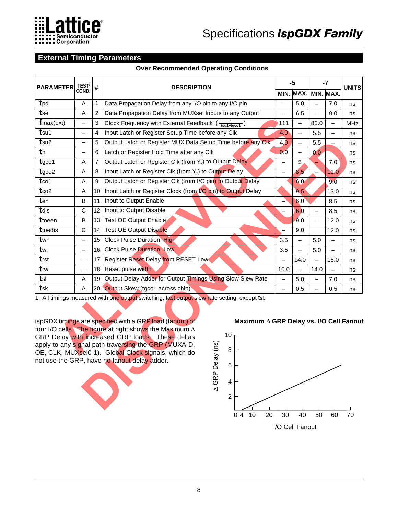

### **External Timing Parameters**

#### **Over Recommended Operating Conditions**

| <b>TEST<sup>1</sup></b>                                                                                                                                                                                                                                                                                                                                                                                                                                                                                                                                      |                           |                                                                                   |                          | $-5$                     |                          | $-7$              |              |  |  |
|--------------------------------------------------------------------------------------------------------------------------------------------------------------------------------------------------------------------------------------------------------------------------------------------------------------------------------------------------------------------------------------------------------------------------------------------------------------------------------------------------------------------------------------------------------------|---------------------------|-----------------------------------------------------------------------------------|--------------------------|--------------------------|--------------------------|-------------------|--------------|--|--|
|                                                                                                                                                                                                                                                                                                                                                                                                                                                                                                                                                              |                           |                                                                                   |                          |                          |                          |                   | <b>UNITS</b> |  |  |
| Α                                                                                                                                                                                                                                                                                                                                                                                                                                                                                                                                                            | 1                         | Data Propagation Delay from any I/O pin to any I/O pin                            | $\qquad \qquad -$        | 5.0                      | $\overline{\phantom{0}}$ | 7.0               | ns           |  |  |
| Α                                                                                                                                                                                                                                                                                                                                                                                                                                                                                                                                                            | 2                         | Data Propagation Delay from MUXsel Inputs to any Output                           | $\qquad \qquad -$        | 6.5                      | $\overline{\phantom{0}}$ | 9.0               | ns           |  |  |
| $\overline{\phantom{0}}$                                                                                                                                                                                                                                                                                                                                                                                                                                                                                                                                     | $\ensuremath{\mathsf{3}}$ | Clock Frequency with External Feedback $\left(\frac{1}{\text{tsu2+taco1}}\right)$ | $-111$                   |                          | 80.0                     |                   | <b>MHz</b>   |  |  |
| $\qquad \qquad -$                                                                                                                                                                                                                                                                                                                                                                                                                                                                                                                                            | 4                         | Input Latch or Register Setup Time before any Clk                                 | 4.0                      | $\overline{\phantom{0}}$ | 5.5                      | $\equiv$          | ns           |  |  |
| $\qquad \qquad -$                                                                                                                                                                                                                                                                                                                                                                                                                                                                                                                                            | 5                         | Output Latch or Register MUX Data Setup Time before any Clk                       | 4.0                      | $\qquad \qquad -$        | 5.5                      |                   | ns           |  |  |
| ▃                                                                                                                                                                                                                                                                                                                                                                                                                                                                                                                                                            | 6                         | Latch or Register Hold Time after any Clk                                         | 0.0                      | $\overline{\phantom{0}}$ | 0.0                      |                   | ns           |  |  |
| A                                                                                                                                                                                                                                                                                                                                                                                                                                                                                                                                                            | 7                         | Output Latch or Register Clk (from Y <sub>x</sub> ) to Output Delay               | $\qquad \qquad -$        | 5                        |                          | 7.0               | ns           |  |  |
| Α                                                                                                                                                                                                                                                                                                                                                                                                                                                                                                                                                            | 8                         | Input Latch or Register Clk (from Y <sub>x</sub> ) to Output Delay                | $\overline{\phantom{0}}$ | 8.5                      |                          | 11.0              | ns           |  |  |
| A                                                                                                                                                                                                                                                                                                                                                                                                                                                                                                                                                            | 9                         | Output Latch or Register Clk (from I/O pin) to Output Delay                       |                          | 6.0                      |                          | 9.0               | ns           |  |  |
| A                                                                                                                                                                                                                                                                                                                                                                                                                                                                                                                                                            | 10                        | Input Latch or Register Clock (from I/O pin) to Output Delay                      | ⊐                        | 9.5                      |                          | 13.0              | ns           |  |  |
| B                                                                                                                                                                                                                                                                                                                                                                                                                                                                                                                                                            | 11                        | Input to Output Enable                                                            |                          | 6.0                      | $\overline{\phantom{0}}$ | 8.5               | ns           |  |  |
| C                                                                                                                                                                                                                                                                                                                                                                                                                                                                                                                                                            | 12                        | Input to Output Disable                                                           | $\overline{\phantom{0}}$ | 6.0                      | $\equiv$                 | 8.5               | ns           |  |  |
| в                                                                                                                                                                                                                                                                                                                                                                                                                                                                                                                                                            | 13                        | <b>Test OE Output Enable</b>                                                      |                          | 9.0                      | $\overline{\phantom{a}}$ | 12.0              | ns           |  |  |
| $\mathsf{C}$                                                                                                                                                                                                                                                                                                                                                                                                                                                                                                                                                 | 14                        | <b>Test OE Output Disable</b>                                                     | $\equiv$                 | 9.0                      | $\equiv$                 | 12.0              | ns           |  |  |
| $\overline{\phantom{0}}$                                                                                                                                                                                                                                                                                                                                                                                                                                                                                                                                     | 15                        | <b>Clock Pulse Duration, High</b>                                                 | 3.5                      | $\equiv$                 | 5.0                      | $\qquad \qquad -$ | ns           |  |  |
| $\qquad \qquad -$                                                                                                                                                                                                                                                                                                                                                                                                                                                                                                                                            | 16                        | <b>Clock Pulse Duration, Low</b>                                                  | 3.5                      | $\qquad \qquad -$        | 5.0                      |                   | ns           |  |  |
| $\overline{\phantom{0}}$                                                                                                                                                                                                                                                                                                                                                                                                                                                                                                                                     | 17                        | Register Reset Delay from RESET Low                                               |                          | 14.0                     | $\equiv$                 | 18.0              | ns           |  |  |
| $\overline{\phantom{0}}$                                                                                                                                                                                                                                                                                                                                                                                                                                                                                                                                     | 18                        | Reset pulse width                                                                 | 10.0                     |                          | 14.0                     |                   | ns           |  |  |
| Α                                                                                                                                                                                                                                                                                                                                                                                                                                                                                                                                                            | 19                        | Output Delay Adder for Output Timings Using Slow Slew Rate                        | $\overline{\phantom{m}}$ | 5.0                      | $\qquad \qquad -$        | 7.0               | ns           |  |  |
| A                                                                                                                                                                                                                                                                                                                                                                                                                                                                                                                                                            | 20                        | Output Skew (tgco1 across chip)                                                   | $\equiv$                 | 0.5                      | $\equiv$                 | 0.5               | ns           |  |  |
| tsk<br>1. All timings measured with one output switching, fast output slew rate setting, except tsl.<br>ispGDX timings are specified with a GRP load (fanout) of<br>Maximum A GRP Delay vs. I/O Cell Fanout<br>four I/O cells. The figure at right shows the Maximum $\Delta$<br>10<br>GRP Delay with increased GRP loads. These deltas<br>A GRP Delay (ns)<br>apply to any signal path traversing the GRP (MUXA-D,<br>8<br>OE, CLK, MUXsel0-1). Global Clock signals, which do<br>not use the GRP, have no fanout delay adder.<br>$\,6$<br>4<br>$\mathbf 2$ |                           |                                                                                   |                          |                          |                          |                   |              |  |  |
|                                                                                                                                                                                                                                                                                                                                                                                                                                                                                                                                                              | COND.                     | #                                                                                 | <b>DESCRIPTION</b>       |                          |                          | MIN. MAX.         | MIN. MAX.    |  |  |

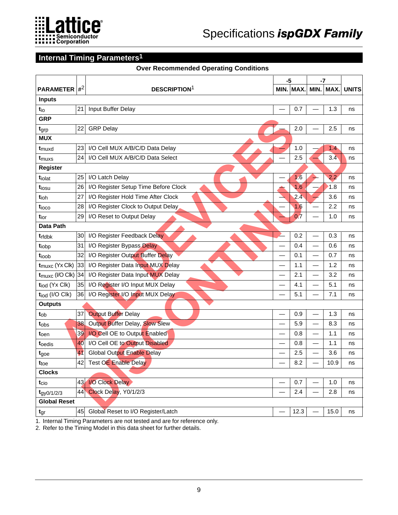

### **Internal Timing Parameters1**

### **Over Recommended Operating Conditions**

|                                |       |                                      | -5 |           | -7                       |           |              |
|--------------------------------|-------|--------------------------------------|----|-----------|--------------------------|-----------|--------------|
| <b>PARAMETER</b>               | $#^2$ | <b>DESCRIPTION</b> <sup>1</sup>      |    | MIN. MAX. |                          | MIN. MAX. | <b>UNITS</b> |
| <b>Inputs</b>                  |       |                                      |    |           |                          |           |              |
| tio                            | 21    | Input Buffer Delay                   |    | 0.7       |                          | 1.3       | ns           |
| <b>GRP</b>                     |       |                                      |    |           |                          |           |              |
| tgrp                           | 22    | <b>GRP Delay</b>                     |    | 2.0       |                          | 2.5       | ns           |
| <b>MUX</b>                     |       |                                      |    |           |                          |           |              |
| t <sub>muxd</sub>              | 23    | I/O Cell MUX A/B/C/D Data Delay      |    | 1.0       |                          | 1.4       | ns           |
| t <sub>muxs</sub>              | 24    | I/O Cell MUX A/B/C/D Data Select     |    | 2.5       |                          | 3.4       | ns           |
| Register                       |       |                                      |    |           |                          |           |              |
| tiolat                         | 25    | I/O Latch Delay                      |    | 1.6       |                          | 2.2       | ns           |
| t <sub>iosu</sub>              | 26    | I/O Register Setup Time Before Clock |    | 1.6       |                          | 1.8       | ns           |
| tioh                           | 27    | I/O Register Hold Time After Clock   |    | 2.4       |                          | 3.6       | ns           |
| tioco                          | 28    | I/O Register Clock to Output Delay   |    | 1.6       |                          | 2.2       | ns           |
| tior                           | 29    | I/O Reset to Output Delay            |    | 0.7       |                          | 1.0       | ns           |
| <b>Data Path</b>               |       |                                      |    |           |                          |           |              |
| trfdbk                         | 30    | I/O Register Feedback Delay          |    | 0.2       |                          | 0.3       | ns           |
| tiobp                          | 31    | I/O Register Bypass Delay            |    | 0.4       | $\overline{\phantom{0}}$ | 0.6       | ns           |
| tioob                          | 32    | I/O Register Output Buffer Delay     |    | 0.1       |                          | 0.7       | ns           |
| $t_{\text{muxc}}$ (Yx Clk)     | 33    | I/O Register Data Input MUX Delay    |    | 1.1       | $\overline{\phantom{0}}$ | 1.2       | ns           |
| $t_{\text{muxc}}$ (I/O Clk) 34 |       | I/O Register Data Input MUX Delay    |    | 2.1       | $\overline{\phantom{0}}$ | 3.2       | ns           |
| tiod (Yx Clk)                  | 35    | I/O Register I/O Input MUX Delay     |    | 4.1       | $\overline{\phantom{0}}$ | 5.1       | ns           |
| tiod (I/O Clk)                 | 36    | I/O Register I/O Input MUX Delay     |    | 5.1       |                          | 7.1       | ns           |
| <b>Outputs</b>                 |       |                                      |    |           |                          |           |              |
| t <sub>ob</sub>                | 37    | <b>Output Buffer Delay</b>           |    | 0.9       |                          | 1.3       | ns           |
| tobs                           | 38    | Output Buffer Delay, Slow Slew       |    | 5.9       | $\overline{\phantom{0}}$ | 8.3       | ns           |
| t <sub>oen</sub>               | 39    | I/O Cell OE to Output Enabled        |    | 0.8       |                          | 1.1       | ns           |
| toedis                         | 40    | I/O Cell OE to Output Disabled       |    | 0.8       | $\overline{\phantom{0}}$ | 1.1       | ns           |
| tgoe                           | 41    | <b>Global Output Enable Delay</b>    |    | 2.5       |                          | 3.6       | ns           |
| t <sub>toe</sub>               | 42    | <b>Test OE Enable Delay</b>          |    | 8.2       |                          | 10.9      | ns           |
| <b>Clocks</b>                  |       |                                      |    |           |                          |           |              |
| t <sub>cio</sub>               | 43    | I/O Clock Delay                      |    | 0.7       |                          | 1.0       | ns           |
| $t_{gyO/1/2/3}$                | 44    | Clock Delay, Y0/1/2/3                |    | 2.4       |                          | 2.8       | ns           |
| <b>Global Reset</b>            |       |                                      |    |           |                          |           |              |
| $t_{gr}$                       | 45    | Global Reset to I/O Register/Latch   |    | 12.3      |                          | 15.0      | ns           |

1. Internal Timing Parameters are not tested and are for reference only.

2. Refer to the Timing Model in this data sheet for further details.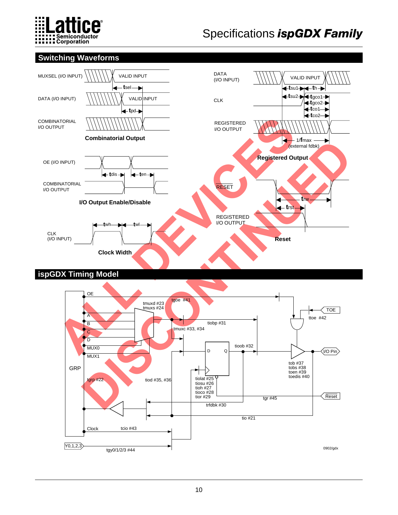

### **Switching Waveforms**



### **ispGDX Timing Model**

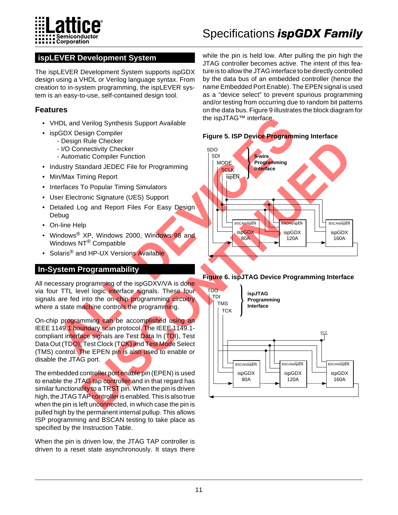

### **ispLEVER Development System**

The ispLEVER Development System supports ispGDX design using a VHDL or Verilog language syntax. From creation to in-system programming, the ispLEVER system is an easy-to-use, self-contained design tool.

### **Features**

- VHDL and Verilog Synthesis Support Available
- ispGDX Design Compiler
	- Design Rule Checker
	- I/O Connectivity Checker
	- Automatic Compiler Function
- Industry Standard JEDEC File for Programming
- Min/Max Timing Report
- Interfaces To Popular Timing Simulators
- User Electronic Signature (UES) Support
- Detailed Log and Report Files For Easy Design Debug
- On-line Help
- Windows<sup>®</sup> XP, Windows 2000, Windows 98 and Windows NT® Compatible
- Solaris<sup>®</sup> and HP-UX Versions Available

### **In-System Programmability**

All necessary programming of the ispGDXV/VA is done via four TTL level logic interface signals. These four signals are fed into the on-chip programming circuitry where a state machine controls the programming.

On-chip programming can be accomplished using an IEEE 1149.1 boundary scan protocol. The IEEE 1149.1compliant interface signals are Test Data In (TDI), Test Data Out (TDO), Test Clock (TCK) and Test Mode Select (TMS) control. The EPEN pin is also used to enable or disable the JTAG port.

The embedded controller port enable pin (EPEN) is used to enable the JTAG tap controller and in that regard has similar functionality to a TRST pin. When the pin is driven high, the JTAG TAP controller is enabled. This is also true when the pin is left unconnected, in which case the pin is pulled high by the permanent internal pullup. This allows ISP programming and BSCAN testing to take place as specified by the Instruction Table.

When the pin is driven low, the JTAG TAP controller is driven to a reset state asynchronously. It stays there

while the pin is held low. After pulling the pin high the JTAG controller becomes active. The intent of this feature is to allow the JTAG interface to be directly controlled by the data bus of an embedded controller (hence the name Embedded Port Enable). The EPEN signal is used as a "device select" to prevent spurious programming and/or testing from occurring due to random bit patterns on the data bus. Figure 9 illustrates the block diagram for the ispJTAG™ interface.





### **Figure 6. ispJTAG Device Programming Interface**

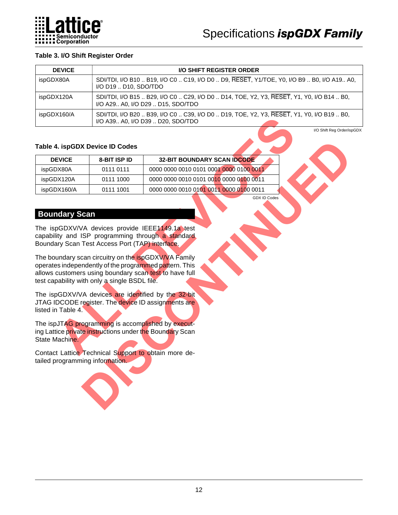

### **Table 3. I/O Shift Register Order**

| <b>DEVICE</b> | <b>I/O SHIFT REGISTER ORDER</b>                                                                                                |
|---------------|--------------------------------------------------------------------------------------------------------------------------------|
| ispGDX80A     | SDI/TDI, I/O B10  B19, I/O C0  C19, I/O D0  D9, RESET, Y1/TOE, Y0, I/O B9  B0, I/O A19 A0,<br>I/O D19  D10, SDO/TDO            |
| ispGDX120A    | SDI/TDI, I/O B15  B29, I/O C0  C29, I/O D0  D14, TOE, Y2, Y3, RESET, Y1, Y0, I/O B14  B0,<br>I/O A29 A0, I/O D29  D15, SDO/TDO |
| ispGDX160/A   | SDI/TDI, I/O B20  B39, I/O C0  C39, I/O D0  D19, TOE, Y2, Y3, RESET, Y1, Y0, I/O B19  B0,<br>I/O A39 A0, I/O D39  D20, SDO/TDO |

### **Table 4. ispGDX Device ID Codes**

|                                        |                                                                                                  | $\frac{1}{2}$ boo, $\frac{1}{2}$ over the boo, $\frac{1}{2}$ over the set of the set of the set of the set of the set of the set of the set of the set of the set of the set of the set of the set of the set of the set of the set o<br>I/O A39 A0, I/O D39  D20, SDO/TDO                                                                                                                                            |                            |
|----------------------------------------|--------------------------------------------------------------------------------------------------|-----------------------------------------------------------------------------------------------------------------------------------------------------------------------------------------------------------------------------------------------------------------------------------------------------------------------------------------------------------------------------------------------------------------------|----------------------------|
| <b>Table 4. ispGDX Device ID Codes</b> |                                                                                                  |                                                                                                                                                                                                                                                                                                                                                                                                                       | I/O Shift Reg Order/ispGDX |
| <b>DEVICE</b>                          | 8-BIT ISP ID                                                                                     | <b>32-BIT BOUNDARY SCAN IDCODE</b>                                                                                                                                                                                                                                                                                                                                                                                    |                            |
| ispGDX80A                              | 0111 0111                                                                                        | 0000 0000 0010 0101 0001 0000 0100 0011                                                                                                                                                                                                                                                                                                                                                                               |                            |
| ispGDX120A                             | 0111 1000                                                                                        | 0000 0000 0010 0101 0010 0000 0100 0011                                                                                                                                                                                                                                                                                                                                                                               |                            |
| ispGDX160/A                            | 0111 1001                                                                                        | 0000 0000 0010 0101 0011 0000 0100 0011                                                                                                                                                                                                                                                                                                                                                                               |                            |
| <b>Boundary Scan</b>                   | Boundary Scan Test Access Port (TAP) interface.<br>test capability with only a single BSDL file. | <b>GDX ID Codes</b><br>The ispGDXV/VA devices provide IEEE1149.1a test<br>capability and ISP programming through a standard<br>The boundary scan circuitry on the ispGDXV/VA Family<br>operates independently of the programmed pattern. This<br>allows customers using boundary scan test to have full<br>The ispGDXV/VA devices are identified by the 32-bit<br>JTAG IDCODE register. The device ID assignments are |                            |
| listed in Table 4.<br>State Machine    | The ispJTAG programming is accomplished by execut-                                               | ing Lattice private instructions under the Boundary Scan                                                                                                                                                                                                                                                                                                                                                              |                            |
| tailed programming information.        | Contact Lattice Technical Support to obtain more de-                                             |                                                                                                                                                                                                                                                                                                                                                                                                                       |                            |

### **Boundary Scan**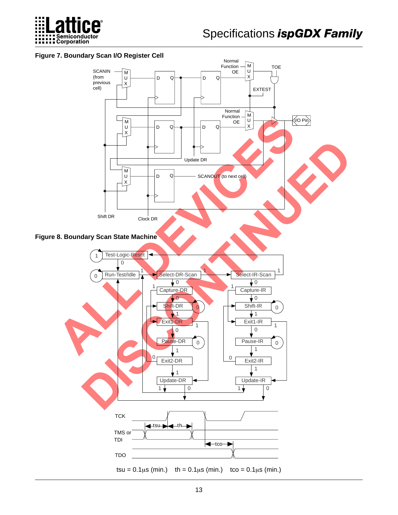

### **Figure 7. Boundary Scan I/O Register Cell**

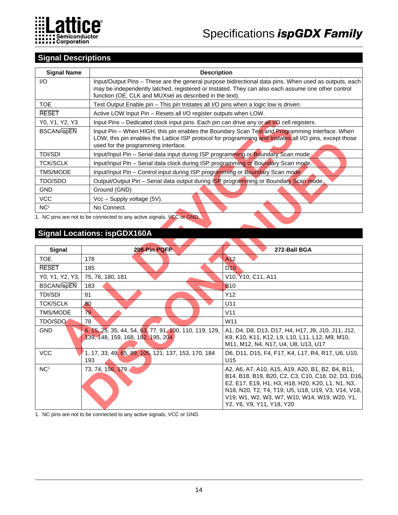

### **Signal Descriptions**

| <b>Signal Name</b> | <b>Description</b>                                                                                                                                                                                                                                                     |
|--------------------|------------------------------------------------------------------------------------------------------------------------------------------------------------------------------------------------------------------------------------------------------------------------|
| I/O                | Input/Output Pins – These are the general purpose bidirectional data pins. When used as outputs, each<br>may be independently latched, registered or tristated. They can also each assume one other control<br>function (OE, CLK and MUXsel as described in the text). |
| TOE.               | Test Output Enable pin - This pin tristates all I/O pins when a logic low is driven.                                                                                                                                                                                   |
| <b>RESET</b>       | Active LOW Input Pin – Resets all I/O register outputs when LOW.                                                                                                                                                                                                       |
| Y0, Y1, Y2, Y3     | Input Pins – Dedicated clock input pins. Each pin can drive any or all I/O cell registers.                                                                                                                                                                             |
| <b>BSCAN/ispEN</b> | Input Pin – When HIGH, this pin enables the Boundary Scan Test and Programming Interface. When<br>LOW, this pin enables the Lattice ISP protocol for programming and tristates all I/O pins, except those<br>used for the programming interface.                       |
| <b>TDI/SDI</b>     | Input/Input Pin - Serial data input during ISP programming or Boundary Scan mode.                                                                                                                                                                                      |
| <b>TCK/SCLK</b>    | Input/Input Pin - Serial data clock during ISP programming or Boundary Scan mode.                                                                                                                                                                                      |
| TMS/MODE           | Input/Input Pin - Control input during ISP programming or Boundary Scan mode.                                                                                                                                                                                          |
| TDO/SDO            | Output/Output Pin - Serial data output during ISP programming or Boundary Scan mode.                                                                                                                                                                                   |
| <b>GND</b>         | Ground (GND)                                                                                                                                                                                                                                                           |
| <b>VCC</b>         | Vcc - Supply voltage (5V).                                                                                                                                                                                                                                             |
| NC <sup>1</sup>    | No Connect.                                                                                                                                                                                                                                                            |

### **Signal Locations: ispGDX160A**

| Y0, Y1, Y2, Y3     | Input Pins - Dedicated clock input pins. Each pin can drive any or all I/O cell registers.  |                                                                                                                                                                                                                                                                                               |
|--------------------|---------------------------------------------------------------------------------------------|-----------------------------------------------------------------------------------------------------------------------------------------------------------------------------------------------------------------------------------------------------------------------------------------------|
| <b>BSCAN/ispEN</b> | used for the programming interface.                                                         | Input Pin - When HIGH, this pin enables the Boundary Scan Test and Programming Interface. When<br>LOW, this pin enables the Lattice ISP protocol for programming and tristates all I/O pins, except those                                                                                     |
| <b>TDI/SDI</b>     | Input/Input Pin - Serial data input during ISP programming or Boundary Scan mode.           |                                                                                                                                                                                                                                                                                               |
| <b>TCK/SCLK</b>    | Input/Input Pin - Serial data clock during ISP programming or Boundary Scan mode.           |                                                                                                                                                                                                                                                                                               |
| TMS/MODE           | Input/Input Pin - Control input during ISP programming or Boundary Scan mode.               |                                                                                                                                                                                                                                                                                               |
| TDO/SDO            | Output/Output Pin - Serial data output during ISP programming or Boundary Scan mode.        |                                                                                                                                                                                                                                                                                               |
| <b>GND</b>         | Ground (GND)                                                                                |                                                                                                                                                                                                                                                                                               |
| <b>VCC</b>         | Vcc - Supply voltage (5V).                                                                  |                                                                                                                                                                                                                                                                                               |
| NC <sup>1</sup>    | No Connect.                                                                                 |                                                                                                                                                                                                                                                                                               |
|                    | 1. NC pins are not to be connected to any active signals, VCC or GND.                       |                                                                                                                                                                                                                                                                                               |
|                    |                                                                                             |                                                                                                                                                                                                                                                                                               |
|                    | <b>Signal Locations: ispGDX160A</b>                                                         |                                                                                                                                                                                                                                                                                               |
|                    |                                                                                             |                                                                                                                                                                                                                                                                                               |
| Signal             | 208-Pin PQFP                                                                                | 272-Ball BGA                                                                                                                                                                                                                                                                                  |
| <b>TOE</b>         | 178                                                                                         | A <sub>12</sub>                                                                                                                                                                                                                                                                               |
| <b>RESET</b>       | 185                                                                                         | D <sub>10</sub>                                                                                                                                                                                                                                                                               |
| Y0, Y1, Y2, Y3,    | 75, 76, 180, 181                                                                            | V10, Y10, C11, A11                                                                                                                                                                                                                                                                            |
| <b>BSCAN/ispEN</b> | 183                                                                                         | <b>B10</b>                                                                                                                                                                                                                                                                                    |
| <b>TDI/SDI</b>     | 81                                                                                          | Y12                                                                                                                                                                                                                                                                                           |
| <b>TCK/SCLK</b>    | 80                                                                                          | U11                                                                                                                                                                                                                                                                                           |
| TMS/MODE           | 79                                                                                          | V11                                                                                                                                                                                                                                                                                           |
| <b>TDO/SDO</b>     | 78                                                                                          | W <sub>11</sub>                                                                                                                                                                                                                                                                               |
| <b>GND</b>         | 6, 15, 25, 35, 44, 54, 63, 77, 91, 100, 110, 119, 129,<br>139, 148, 159, 168, 182, 195, 204 | A1, D4, D8, D13, D17, H4, H17, J9, J10, J11, J12,<br>K9, K10, K11, K12, L9, L10, L11, L12, M9, M10,<br>M11, M12, N4, N17, U4, U8, U13, U17                                                                                                                                                    |
| <b>VCC</b>         | 1, 17, 33, 49, 65, 89, 105, 121, 137, 153, 170, 184<br>193                                  | D6, D11, D15, F4, F17, K4, L17, R4, R17, U6, U10,<br>U15                                                                                                                                                                                                                                      |
| NC <sup>1</sup>    | 73, 74, 156, 179                                                                            | A2, A6, A7, A10, A15, A19, A20, B1, B2, B4, B11,<br>B14, B18, B19, B20, C2, C3, C10, C18, D2, D3, D16,<br>E2, E17, E19, H1, H3, H18, H20, K20, L1, N1, N3,<br>N18, N20, T2, T4, T19, U5, U18, U19, V3, V14, V18,<br>V19, W1, W2, W3, W7, W10, W14, W19, W20, Y1,<br>Y2, Y6, Y9, Y11, Y18, Y20 |

1. NC pins are not to be connected to any active signals, VCC or GND.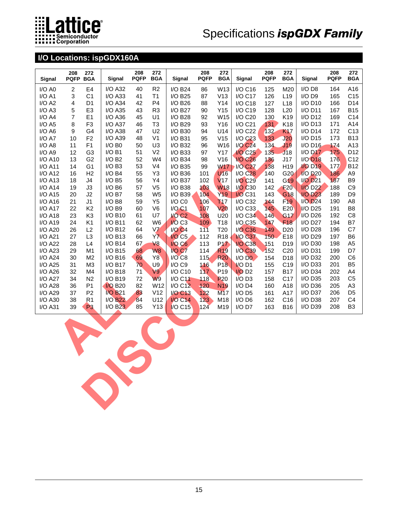

### **I/O Locations: ispGDX160A**

| Signal                | 208<br><b>PQFP</b>      | 272<br><b>BGA</b> | Signal                | 208<br><b>PQFP</b> | 272<br><b>BGA</b> | Signal            | 208<br><b>PQFP</b> | 272<br><b>BGA</b> | Signal                | 208<br><b>PQFP</b> | 272<br><b>BGA</b> | Signal                | 208<br><b>PQFP</b> | 272<br><b>BGA</b> |
|-----------------------|-------------------------|-------------------|-----------------------|--------------------|-------------------|-------------------|--------------------|-------------------|-----------------------|--------------------|-------------------|-----------------------|--------------------|-------------------|
| I/O A0                | $\boldsymbol{2}$        | E4                | <b>I/O A32</b>        | 40                 | R2                | I/O B24           | 86                 | W13               | I/O C16               | 125                | M20               | I/O D8                | 164                | A16               |
| $I/O$ A1              | 3                       | C <sub>1</sub>    | $I/O$ A33             | 41                 | T1                | I/O B25           | 87                 | V13               | $I/O$ C <sub>17</sub> | 126                | L <sub>19</sub>   | I/O D9                | 165                | C15               |
| $I/O$ A2              | $\overline{\mathbf{4}}$ | D <sub>1</sub>    | $I/O$ A34             | 42                 | P <sub>4</sub>    | I/O B26           | 88                 | Y14               | I/O C18               | 127                | L <sub>18</sub>   | I/O D10               | 166                | D14               |
| $I/O$ A3              | 5                       | E <sub>3</sub>    | <b>I/O A35</b>        | 43                 | R <sub>3</sub>    | <b>I/O B27</b>    | 90                 | Y15               | I/O C19               | 128                | L20               | $I/O$ D <sub>11</sub> | 167                | <b>B15</b>        |
| I/O A4                | 7                       | E1                | <b>I/O A36</b>        | 45                 | U1                | <b>I/O B28</b>    | 92                 | W15               | I/O C20               | 130                | K19               | $I/O$ D <sub>12</sub> | 169                | C14               |
| $I/O$ A5              | 8                       | F <sub>3</sub>    | $I/O$ A37             | 46                 | T <sub>3</sub>    | I/O B29           | 93                 | Y16               | I/O C21               | 131                | K18               | $I/O$ D <sub>13</sub> | 171                | A14               |
| $I/O$ A <sub>6</sub>  | 9                       | G4                | <b>I/O A38</b>        | 47                 | U <sub>2</sub>    | I/O B30           | 94                 | U14               | <b>I/O C22</b>        | 132                | K <sub>17</sub>   | $I/O$ D <sub>14</sub> | 172                | C <sub>13</sub>   |
| I/O A7                | 10                      | F <sub>2</sub>    | <b>I/O A39</b>        | 48                 | V <sub>1</sub>    | I/O B31           | 95                 | V15               | $I/O$ $C23$           | 133                | J <sub>20</sub>   | $I/O$ D <sub>15</sub> | 173                | <b>B13</b>        |
| $I/O$ A8              | 11                      | F <sub>1</sub>    | $I/O$ B <sub>0</sub>  | 50                 | U <sub>3</sub>    | I/O B32           | 96                 | W16               | <b>I/O C24</b>        | 134                | J19               | I/O D16               | 174                | A13               |
| $I/O$ A <sub>9</sub>  | 12                      | G <sub>3</sub>    | I/OB1                 | 51                 | V <sub>2</sub>    | I/O B33           | 97                 | Y17               | <b>I/O C25</b>        | 135                | J18               | <b>I/O D17</b>        | 175                | D12               |
| <b>I/O A10</b>        | 13                      | G <sub>2</sub>    | I/OB2                 | 52                 | W4                | I/O B34           | 98                 | V16               | <b>I/O C26</b>        | 136                | J17               | <b>I/O D18</b>        | 176                | C12               |
| <b>I/O A11</b>        | 14                      | G <sub>1</sub>    | $I/O$ B <sub>3</sub>  | 53                 | V <sub>4</sub>    | I/O B35           | 99                 | <b>W17</b>        | <b>I/O C27</b>        | 138                | H19               | <b>I/O D19</b>        | 177                | <b>B12</b>        |
| <b>I/O A12</b>        | 16                      | H2                | I/OB4                 | 55                 | Y3                | I/O B36           | 101                | U <sub>16</sub>   | <b>I/O C28</b>        | 140                | G20               | $I/O$ D <sub>20</sub> | 186                | A <sub>9</sub>    |
| $I/O$ A <sub>13</sub> | 18                      | J4                | $I/O$ B <sub>5</sub>  | 56                 | Y4                | I/O B37           | 102                | V <sub>17</sub>   | I/O C29               | 141                | G <sub>19</sub>   | <b>I/O D21</b>        | 187                | B <sub>9</sub>    |
| <b>I/O A14</b>        | 19                      | J3                | $I/O$ B <sub>6</sub>  | 57                 | V <sub>5</sub>    | I/O B38           | 103                | <b>W18</b>        | I/O C <sub>30</sub>   | 142                | <b>F20</b>        | <b>I/O D22</b>        | 188                | C <sub>9</sub>    |
| I/O A15               | 20                      | J2                | $I/O$ B7              | 58                 | W <sub>5</sub>    | I/O B39           | 104                | Y <sub>19</sub>   | <b>I/O C31</b>        | 143                | G <sub>18</sub>   | <b>I/O D23</b>        | 189                | D <sub>9</sub>    |
| $I/O$ A <sub>16</sub> | 21                      | J <sub>1</sub>    | $I/O$ B <sub>8</sub>  | 59                 | Y <sub>5</sub>    | I/O C0            | 106                | <b>T17</b>        | I/O C32               | 144                | F <sub>19</sub>   | $I/O$ $D24$           | 190                | A8                |
| <b>I/O A17</b>        | 22                      | K <sub>2</sub>    | $I/O$ B9              | 60                 | V <sub>6</sub>    | I/O <sub>C1</sub> | 107                | V <sub>20</sub>   | $I/O$ $C33$           | 145                | E20               | I/O D25               | 191                | B <sub>8</sub>    |
| <b>I/O A18</b>        | 23                      | K <sub>3</sub>    | I/O B10               | 61                 | U7                | $VO C2$           | 108                | U <sub>20</sub>   | I/O C34               | 146                | G <sub>17</sub>   | I/O D <sub>26</sub>   | 192                | C <sub>8</sub>    |
| I/O A19               | 24                      | K1                | I/O B11               | 62                 | W <sub>6</sub>    | $IO$ $C3$         | 109                | T18               | I/O C35               | 147                | F <sub>18</sub>   | <b>I/O D27</b>        | 194                | B7                |
| <b>I/O A20</b>        | 26                      | L2                | I/O B12               | 64                 | V <sub>7</sub>    | <b>I/O C4</b>     | 111                | T20               | I/O C36               | 149                | D <sub>20</sub>   | <b>I/O D28</b>        | 196                | C7                |
| <b>I/O A21</b>        | 27                      | L <sub>3</sub>    | I/O B13               | 66                 | <b>Y7</b>         | $I/O$ $C5$        | 112                | R <sub>18</sub>   | <b>I/O C37</b>        | 150                | E18               | I/O D29               | 197                | B <sub>6</sub>    |
| <b>I/O A22</b>        | 28                      | L4                | $I/O$ B <sub>14</sub> | 67                 | V8                | <b>I/Q C6</b>     | 113                | P17               | <b>I/O C38</b>        | 151                | D <sub>19</sub>   | I/O D30               | 198                | A <sub>5</sub>    |
| <b>I/O A23</b>        | 29                      | M1                | $I/O$ B <sub>15</sub> | 68                 | W <sub>8</sub>    | <b>I/O C7</b>     | 114                | <b>R19</b>        | <b>I/O C39</b>        | 152                | C <sub>20</sub>   | $I/O$ D31             | 199                | D7                |
| $I/O$ A24             | 30                      | M <sub>2</sub>    | I/O B16               | 69                 | Y8                | $I/O$ $C8$        | 115                | <b>R20</b>        | $I/O$ D <sub>0</sub>  | 154                | D <sub>18</sub>   | I/O D32               | 200                | C <sub>6</sub>    |
| <b>I/O A25</b>        | 31                      | M3                | $I/O$ B <sub>17</sub> | 70                 | U9                | I/O C9            | 116                | P <sub>18</sub>   | VO <sub>D1</sub>      | 155                | C <sub>19</sub>   | $I/O$ D33             | 201                | B <sub>5</sub>    |
| <b>I/O A26</b>        | 32                      | M4                | I/O B18               | 71                 | V9                | I/O C10           | 117                | P <sub>19</sub>   | $1/O$ D <sub>2</sub>  | 157                | <b>B17</b>        | I/O D34               | 202                | A4                |
| <b>I/O A27</b>        | 34                      | N <sub>2</sub>    | I/O B19               | 72                 | <b>W9</b>         | I/O C11           | 118                | <b>P20</b>        | $I/O$ D <sub>3</sub>  | 158                | C <sub>17</sub>   | I/O D35               | 203                | C <sub>5</sub>    |
| <b>I/O A28</b>        | 36                      | P <sub>1</sub>    | <b>I/O B20</b>        | 82                 | W12               | <b>I/O C12</b>    | 120                | <b>N19</b>        | $I/O$ D <sub>4</sub>  | 160                | A18               | I/O D36               | 205                | A <sub>3</sub>    |
| <b>I/O A29</b>        | 37                      | P <sub>2</sub>    | <b>I/O B21</b>        | 83                 | V12               | <b>I/O C13</b>    | 122                | M17               | $I/O$ D <sub>5</sub>  | 161                | A17               | I/O D37               | 206                | D <sub>5</sub>    |
| <b>I/O A30</b>        | 38                      | R <sub>1</sub>    | <b>I/O B22</b>        | 84                 | U12               | <b>I/O C14</b>    | 123                | M18               | $I/O$ D <sub>6</sub>  | 162                | C16               | I/O D38               | 207                | C <sub>4</sub>    |
| <b>I/O A31</b>        | 39                      | P <sub>3</sub>    | $I/O$ B <sub>23</sub> | 85                 | Y13               | <b>I/O C15</b>    | 124                | M19               | I/O D7                | 163                | <b>B16</b>        | I/O D39               | 208                | B <sub>3</sub>    |
|                       |                         |                   |                       |                    |                   |                   |                    |                   |                       |                    |                   |                       |                    |                   |

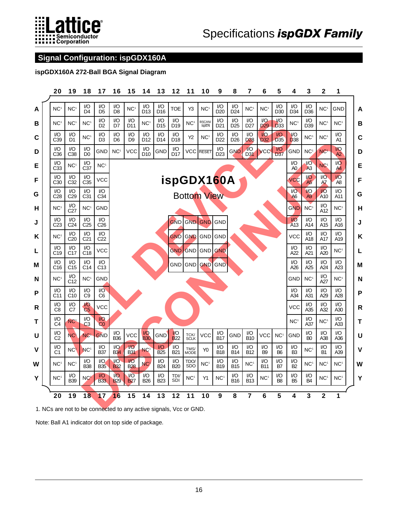

### **Signal Configuration: ispGDX160A**

### **ispGDX160A 272-Ball BGA Signal Diagram**



1. NCs are not to be connected to any active signals, Vcc or GND.

Note: Ball A1 indicator dot on top side of package.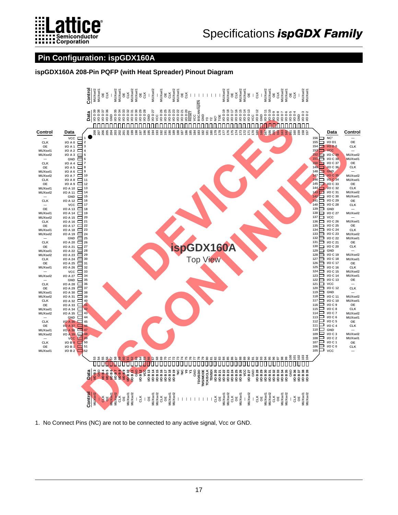

### Pin Configuration: ispGDX160A

ispGDX160A 208-Pin PQFP (with Heat Spreader) Pinout Diagram



1. No Connect Pins (NC) are not to be connected to any active signal, Vcc or GND.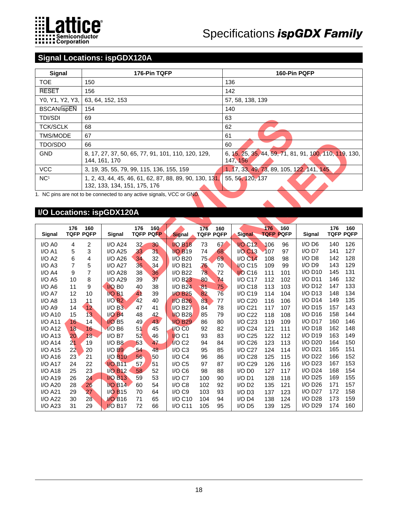

### **Signal Locations: ispGDX120A**

| Signal                                     | 176-Pin TQFP                                                                            | 160-Pin PQFP                                                       |
|--------------------------------------------|-----------------------------------------------------------------------------------------|--------------------------------------------------------------------|
| <b>TOE</b>                                 | 150                                                                                     | 136                                                                |
| <b>RESET</b>                               | 156                                                                                     | 142                                                                |
| Y0, Y1, Y2, Y3,                            | 63, 64, 152, 153                                                                        | 57, 58, 138, 139                                                   |
| <b>BSCAN/ispEN</b>                         | 154                                                                                     | 140                                                                |
| <b>TDI/SDI</b>                             | 69                                                                                      | 63                                                                 |
| <b>TCK/SCLK</b>                            | 68                                                                                      | 62                                                                 |
| TMS/MODE                                   | 67                                                                                      | 61                                                                 |
| TDO/SDO                                    | 66                                                                                      | 60                                                                 |
| <b>GND</b>                                 | 8, 17, 27, 37, 50, 65, 77, 91, 101, 110, 120, 129,<br>144, 161, 170                     | 6, 15, 25, 35, 44, 59, 71, 81, 91, 100, 110, 119, 130,<br>147, 156 |
| <b>VCC</b>                                 | 3, 19, 35, 55, 79, 99, 115, 136, 155, 159                                               | 1, 17, 33, 49, 73, 89, 105, 122, 141, 145                          |
| NC <sup>1</sup><br>$\cdot$ $\cdot$ $\cdot$ | 1, 2, 43, 44, 45, 46, 61, 62, 87, 88, 89, 90, 130, 131,<br>132, 133, 134, 151, 175, 176 | 55, 56, 120, 137                                                   |

### **I/O Locations: ispGDX120A**

| <b>TDI/SDI</b>                                                        | 69  |                                           |     |                  |                                                         |     | 63                      |                                                                    |             |             |                       |     |                  |
|-----------------------------------------------------------------------|-----|-------------------------------------------|-----|------------------|---------------------------------------------------------|-----|-------------------------|--------------------------------------------------------------------|-------------|-------------|-----------------------|-----|------------------|
| <b>TCK/SCLK</b>                                                       | 68  |                                           |     |                  |                                                         |     |                         | 62                                                                 |             |             |                       |     |                  |
| TMS/MODE                                                              | 67  |                                           |     |                  |                                                         |     |                         | 61                                                                 |             |             |                       |     |                  |
| TDO/SDO                                                               | 66  |                                           |     |                  |                                                         |     |                         | 60                                                                 |             |             |                       |     |                  |
| <b>GND</b>                                                            |     | 144, 161, 170                             |     |                  | 8, 17, 27, 37, 50, 65, 77, 91, 101, 110, 120, 129,      |     |                         | 6, 15, 25, 35, 44, 59, 71, 81, 91, 100, 110, 119, 130,<br>147, 156 |             |             |                       |     |                  |
| <b>VCC</b>                                                            |     | 3, 19, 35, 55, 79, 99, 115, 136, 155, 159 |     |                  |                                                         |     |                         | 1, 17, 33, 49, 73, 89, 105, 122, 141, 145                          |             |             |                       |     |                  |
| NC <sup>1</sup>                                                       |     | 132, 133, 134, 151, 175, 176              |     |                  | 1, 2, 43, 44, 45, 46, 61, 62, 87, 88, 89, 90, 130, 131, |     |                         | 55, 56, 120, 137                                                   |             |             |                       |     |                  |
| 1. NC pins are not to be connected to any active signals, VCC or GND. |     |                                           |     |                  |                                                         |     |                         |                                                                    |             |             |                       |     |                  |
| I/O Locations: ispGDX120A                                             |     |                                           |     |                  |                                                         |     |                         |                                                                    |             |             |                       |     |                  |
| 176                                                                   | 160 |                                           | 176 | 160              |                                                         | 176 |                         |                                                                    | 176         | 160         |                       | 176 | 160              |
| <b>TQFP PQFP</b><br>Signal                                            |     | Signal                                    |     | <b>TQFP PQFP</b> | <b>Signal</b>                                           |     | 160<br><b>TQFP PQFP</b> | Signal                                                             | <b>TQFP</b> | <b>PQFP</b> | Signal                |     | <b>TQFP PQFP</b> |
| I/O A0<br>4                                                           | 2   | <b>I/O A24</b>                            | 32  | 30               | <b>I/O B18</b>                                          | 73  | 67                      | <b>I/O C12</b>                                                     | 106         | 96          | I/O D6                | 140 | 126              |
| I/OA1<br>5                                                            | 3   | <b>I/O A25</b>                            | 33  | 31               | <b>I/O B19</b>                                          | 74  | 68                      | $I/O$ $C13$                                                        | 107         | 97          | $I/O$ D7              | 141 | 127              |
| 6<br>I/O A2                                                           | 4   | <b>I/O A26</b>                            | 34  | 32               | <b>I/O B20</b>                                          | 75  | 69                      | <b>I/O C14</b>                                                     | 108         | 98          | I/O D8                | 142 | 128              |
| $\overline{7}$<br>$I/O$ A3                                            | 5   | <b>I/O A27</b>                            | 36  | 34               | I/O B21                                                 | 76  | 70                      | VO C <sub>15</sub>                                                 | 109         | 99          | I/O D9                | 143 | 129              |
| I/OA4<br>9                                                            | 7   | <b>I/O A28</b>                            | 38  | 36               | <b>I/O B22</b>                                          | 78  | 72                      | <b>I/O C16</b>                                                     | 111         | 101         | $I/O$ D <sub>10</sub> | 145 | 131              |
| $I/O$ A5<br>10                                                        | 8   | <b>I/O A29</b>                            | 39  | 37               | I/O B23                                                 | 80  | 74                      | I/O C17                                                            | 112         | 102         | $I/O$ D <sub>11</sub> | 146 | 132              |
| 11<br>$I/O$ A <sub>6</sub>                                            | 9   | $IO$ B <sub>0</sub>                       | 40  | 38               | I/O B24                                                 | 81  | 75                      | I/O C18                                                            | 113         | 103         | I/O D12               | 147 | 133              |
| 12<br>I/O A7                                                          | 10  | <b>I/O B1</b>                             | 41  | 39               | <b>I/O B25</b>                                          | 82  | 76                      | I/O C19                                                            | 114         | 104         | I/O D13               | 148 | 134              |
| I/O A8<br>13                                                          | 11  | $I/O$ $B2$                                | 42  | 40               | <b>I/O B26</b>                                          | 83  | 77                      | I/O C20                                                            | 116         | 106         | $I/O$ D <sub>14</sub> | 149 | 135              |
| I/O A9<br>14                                                          | 12  | I/OB3                                     | 47  | 41               | <b>I/O B27</b>                                          | 84  | 78                      | I/O C21                                                            | 117         | 107         | I/O D15               | 157 | 143              |
| 15<br>$I/O$ A <sub>10</sub>                                           | 13  | $I/O$ $B4$                                | 48  | 42               | <b>I/O B28</b>                                          | 85  | 79                      | <b>I/O C22</b>                                                     | 118         | 108         | I/O D16               | 158 | 144              |
| I/O A11<br>16                                                         | 14  | $1/O$ B <sub>5</sub>                      | 49  | 43,              | <b>I/O B29</b>                                          | 86  | 80                      | I/O C23                                                            | 119         | 109         | I/O D17               | 160 | 146              |
| I/O A12<br>18                                                         | 16  | $I/O$ B <sub>6</sub>                      | 51  | 45               | $1/O$ $CO$                                              | 92  | 82                      | I/O C24                                                            | 121         | 111         | $I/O$ D <sub>18</sub> | 162 | 148              |
| 20<br>I/O A13                                                         | 18  | $I/O$ B7                                  | 52  | 46               | $IO$ C1                                                 | 93  | 83                      | I/O C25                                                            | 122         | 112         | I/O D19               | 163 | 149              |
| <b>I/O A14</b><br>2 <sub>1</sub>                                      | 19  | $I/O$ B <sub>8</sub>                      | 53  | 47               | $I/O$ C <sub>2</sub>                                    | 94  | 84                      | I/O C26                                                            | 123         | 113         | I/O D20               | 164 | 150              |
| 22<br>I/O A15                                                         | 20  | $I/O$ $B9$                                | 54  | 48               | $I/O$ $C3$                                              | 95  | 85                      | <b>I/O C27</b>                                                     | 124         | 114         | I/O D21               | 165 | 151              |
| 23<br>I/O A16                                                         | 21  | $I/O$ $B10$                               | 56  | 50               | I/O C4                                                  | 96  | 86                      | I/O C28                                                            | 125         | 115         | <b>I/O D22</b>        | 166 | 152              |
| <b>I/O A17</b><br>24                                                  | 22  | <b>I/O B11</b>                            | 57  | 51               | $I/O$ $C5$                                              | 97  | 87                      | I/O C29                                                            | 126         | 116         | I/O D23               | 167 | 153              |
|                                                                       |     |                                           |     |                  | I/O C6                                                  | 98  | 88                      | $I/O$ D <sub>0</sub>                                               | 127         | 117         | $I/O$ D <sub>24</sub> | 168 | 154              |
| 25<br>$I/O$ A <sub>18</sub>                                           | 23  | <b>I/O B12</b>                            | 58  | 52               |                                                         |     |                         |                                                                    |             |             |                       |     |                  |
| 26<br>$I/O$ A <sub>19</sub>                                           | 24  | <b>I/O B13</b>                            | 59  | 53               | $I/O$ $C7$                                              | 100 | 90                      | $I/O$ D <sub>1</sub>                                               | 128         | 118         | I/O D25               | 169 | 155              |
| 28<br>I/O A20                                                         | 26  | <b>I/O B14</b>                            | 60  | 54               | $I/O$ $C8$                                              | 102 | 92                      | $I/O$ D <sub>2</sub>                                               | 135         | 121         | I/O D26               | 171 | 157              |
| <b>I/O A21</b><br>29                                                  | 27  | I/O B15                                   | 70  | 64               | I/O C9                                                  | 103 | 93                      | $I/O$ D <sub>3</sub>                                               | 137         | 123         | <b>I/O D27</b>        | 172 | 158              |
| <b>I/O A22</b><br>30                                                  | 28  | <b>I/O B16</b>                            | 71  | 65               | I/O C10                                                 | 104 | 94                      | $I/O$ D <sub>4</sub>                                               | 138         | 124         | I/O D28               | 173 | 159              |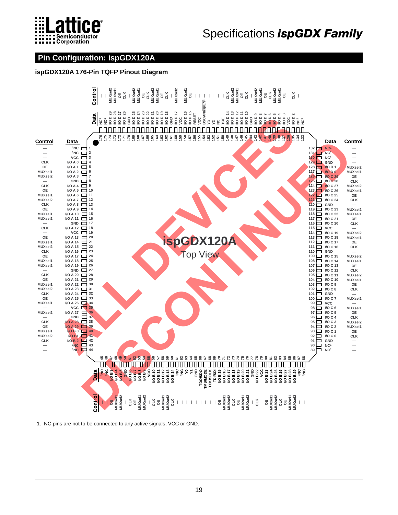

### **Pin Configuration: ispGDX120A**

#### ispGDX120A 176-Pin TQFP Pinout Diagram



1. NC pins are not to be connected to any active signals, VCC or GND.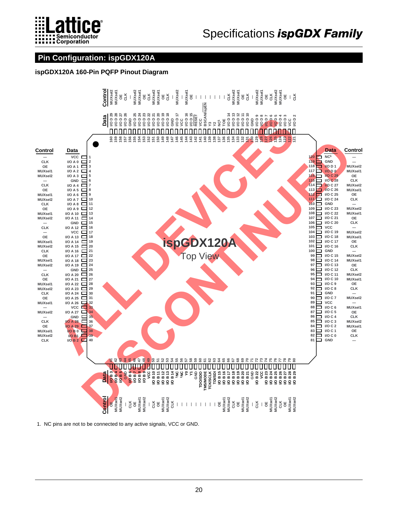

### Pin Configuration: ispGDX120A

#### ispGDX120A 160-Pin PQFP Pinout Diagram



1. NC pins are not to be connected to any active signals, VCC or GND.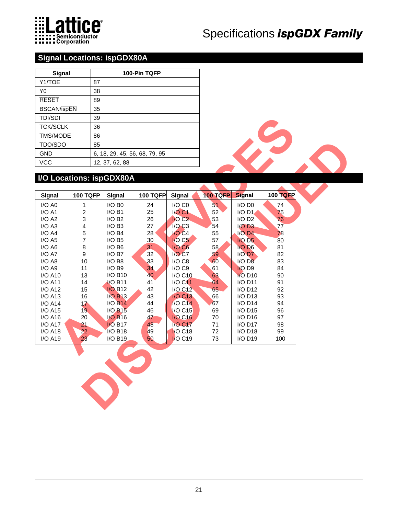

### **Signal Locations: ispGDX80A**

| Signal             | 100-Pin TQFP                  |
|--------------------|-------------------------------|
| Y1/TOE             | 87                            |
| Y0                 | 38                            |
| <b>RESET</b>       | 89                            |
| <b>BSCAN/ispEN</b> | 35                            |
| <b>TDI/SDI</b>     | 39                            |
| <b>TCK/SCLK</b>    | 36                            |
| <b>TMS/MODE</b>    | 86                            |
| TDO/SDO            | 85                            |
| <b>GND</b>         | 6, 18, 29, 45, 56, 68, 79, 95 |
| VCC                | 12, 37, 62, 88                |

### **I/O Locations: ispGDX80A**

| <b>TDI/SDI</b>           | 39                      |                               |                 |                                   |                 |                       |                 |  |
|--------------------------|-------------------------|-------------------------------|-----------------|-----------------------------------|-----------------|-----------------------|-----------------|--|
| <b>TCK/SCLK</b>          | 36                      |                               |                 |                                   |                 |                       |                 |  |
| TMS/MODE                 | 86                      |                               |                 |                                   |                 |                       |                 |  |
| TDO/SDO                  | 85                      |                               |                 |                                   |                 |                       |                 |  |
| GND                      |                         | 6, 18, 29, 45, 56, 68, 79, 95 |                 |                                   |                 |                       |                 |  |
| VCC                      |                         | 12, 37, 62, 88                |                 |                                   |                 |                       |                 |  |
|                          |                         |                               |                 |                                   |                 |                       |                 |  |
| I/O Locations: ispGDX80A |                         |                               |                 |                                   |                 |                       |                 |  |
|                          |                         |                               |                 |                                   |                 |                       |                 |  |
| Signal                   | <b>100 TQFP</b>         | Signal                        | <b>100 TQFP</b> | Signal                            | <b>100 TQFP</b> | <b>Signal</b>         | <b>100 TQFP</b> |  |
| I/O A0                   | 1                       | $I/O$ B <sub>0</sub>          | 24              | I/O C0                            | 51              | $I/O$ D <sub>0</sub>  | 74              |  |
| I/OA1                    | $\overline{c}$          | $I/O$ B1                      | 25              | <b>I/O C1</b>                     | 52              | $I/O$ D <sub>1</sub>  | 75              |  |
| I/O A2                   | 3                       | $I/O$ B <sub>2</sub>          | 26              | IO <sub>C2</sub>                  | 53              | $I/O$ D <sub>2</sub>  | 76              |  |
| I/O A3                   | $\overline{\mathbf{4}}$ | $I/O$ B <sub>3</sub>          | 27              | $I/O$ $C3$                        | 54              | $I/O$ D3              | 77              |  |
| I/O A4                   | 5                       | I/OB4                         | 28              | $NO C4$                           | 55              | $I/O$ D <sub>4</sub>  | 78              |  |
| $I/O$ A5                 | $\overline{7}$          | $I/O$ B <sub>5</sub>          | 30              | $1/O$ C <sub>5</sub>              | 57              | I/O D <sub>5</sub>    | 80              |  |
| $I/O$ A <sub>6</sub>     | 8                       | $I/O$ B <sub>6</sub>          | 31              | I/O <sub>CG</sub>                 | 58              | <b>I/O D6</b>         | 81              |  |
| I/O A7                   | 9                       | $I/O$ B7                      | 32              | I/O <sub>C7</sub>                 | 59              | I/O D7                | 82              |  |
| I/O A8                   | 10                      | $I/O$ B8                      | 33              | I/O C8                            | 60              | I/ODB                 | 83              |  |
| $I/O$ A9                 | 11                      | $I/O$ B9                      | 34              | I/O C9                            | 61              | I/O D9                | 84              |  |
| I/O A10                  | 13                      | I/O B10                       | 40              | I/O C10                           | 63              | <b>I/O D10</b>        | 90              |  |
| I/O A11                  | 14                      | <b>VO B11</b>                 | 41              | <b>I/O C11</b>                    | 64              | $I/O$ D <sub>11</sub> | 91              |  |
| <b>I/O A12</b>           | 15                      | <b>I/O B12</b>                | 42              | I/O C12                           | 65              | $I/O$ D <sub>12</sub> | 92              |  |
| $I/O$ A <sub>13</sub>    | 16                      | <b>I/O B13</b>                | 43              | <b>I/O C13</b>                    | 66              | $I/O$ D <sub>13</sub> | 93              |  |
| $I/O$ A <sub>14</sub>    | 17                      | <b>I/O B14</b>                | 44              | <b>I/O C14</b>                    | 67              | $I/O$ D <sub>14</sub> | 94              |  |
| $I/O$ A <sub>15</sub>    | 19                      | <b>I/O B15</b>                | 46              | <b>I/O C15</b>                    | 69              | $I/O$ D <sub>15</sub> | 96              |  |
| I/O A16                  | 20                      | <b>I/O B16</b>                | 47              | <b>I/O C16</b>                    | 70              | $I/O$ D <sub>16</sub> | 97              |  |
| <b>I/O A17</b>           | 21                      | <b>I/O B17</b>                | 48              | <b>I/O C17</b>                    | 71              | $I/O$ D17             | 98              |  |
| <b>I/O A18</b>           | 22                      | <b>I/O B18</b>                | 49              | VO C <sub>18</sub>                | 72              | $I/O$ D <sub>18</sub> | 99              |  |
| I/O A19                  | 23                      | I/O B19                       | 50              | $\overline{1}$ /O C <sub>19</sub> | 73              | I/O D19               | 100             |  |
|                          |                         |                               |                 |                                   |                 |                       |                 |  |
|                          |                         |                               |                 |                                   |                 |                       |                 |  |
|                          |                         |                               |                 |                                   |                 |                       |                 |  |
|                          |                         |                               |                 |                                   |                 |                       |                 |  |
|                          |                         |                               |                 |                                   |                 |                       |                 |  |
|                          |                         |                               |                 |                                   |                 |                       |                 |  |
|                          |                         |                               |                 |                                   |                 |                       |                 |  |
|                          |                         |                               |                 |                                   |                 |                       |                 |  |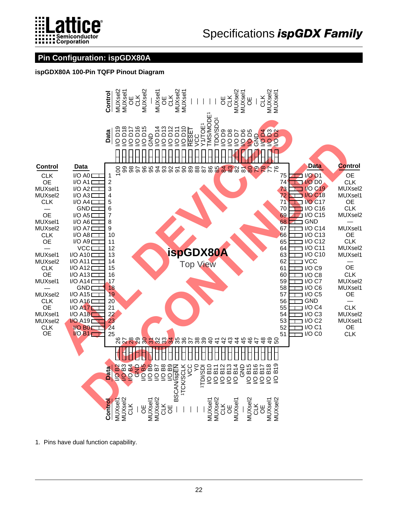

### **Pin Configuration: ispGDX80A**

**ispGDX80A 100-Pin TQFP Pinout Diagram**



1. Pins have dual function capability.